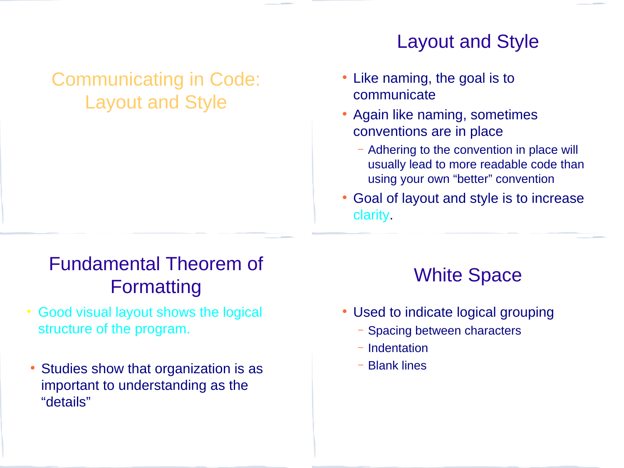## Communicating in Code: Layout and Style

#### Layout and Style

- Like naming, the goal is to communicate
- Again like naming, sometimes conventions are in place
	- Adhering to the convention in place will usually lead to more readable code than using your own "better" convention
- Goal of layout and style is to increase clarity.

# Fundamental Theorem of Formatting

- Good visual layout shows the logical structure of the program.
- Studies show that organization is as important to understanding as the "details"

## White Space

- Used to indicate logical grouping
	- Spacing between characters
	- Indentation
	- Blank lines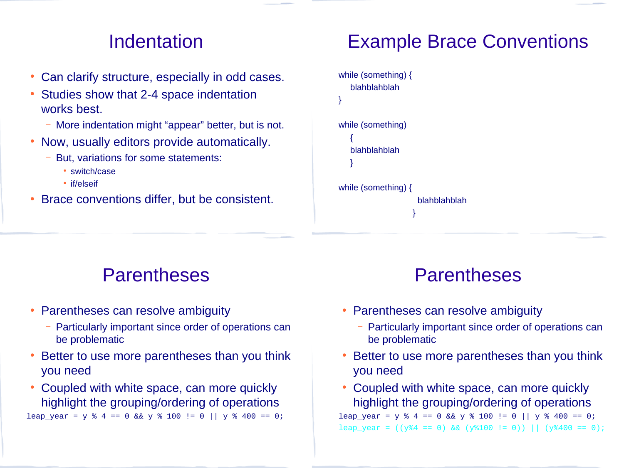#### Indentation

- Can clarify structure, especially in odd cases.
- Studies show that 2-4 space indentation works best.
	- More indentation might "appear" better, but is not.
- Now, usually editors provide automatically.
	- But, variations for some statements:
		- switch/case
		- if/elseif
- Brace conventions differ, but be consistent.

# Example Brace Conventions

| while (something) {<br>blahblahblah |  |
|-------------------------------------|--|
| }                                   |  |
| while (something)                   |  |
| blahblahblah                        |  |
| while (something) {                 |  |
| blahblahblah                        |  |
|                                     |  |

#### Parentheses

- Parentheses can resolve ambiguity
	- Particularly important since order of operations can be problematic
- Better to use more parentheses than you think you need
- Coupled with white space, can more quickly highlight the grouping/ordering of operations

leap\_year = y % 4 == 0 && y % 100 != 0 || y % 400 == 0;

#### Parentheses

- Parentheses can resolve ambiguity
	- Particularly important since order of operations can be problematic
- Better to use more parentheses than you think you need
- Coupled with white space, can more quickly highlight the grouping/ordering of operations

leap\_year = y % 4 == 0 && y % 100 != 0 || y % 400 == 0; leap\_year =  $((y\%4 == 0) \& (y\%100 != 0))$  ||  $(y\%400 == 0)$ ;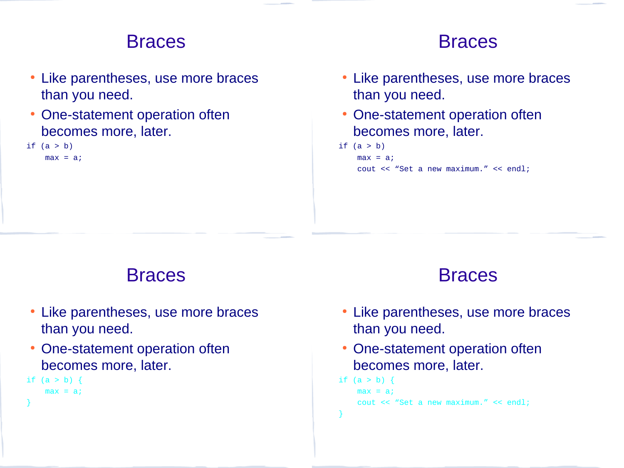#### **Braces**

- Like parentheses, use more braces than you need.
- One-statement operation often becomes more, later.
- if  $(a > b)$

 $max = a$ ;

#### **Braces**

- Like parentheses, use more braces than you need.
- One-statement operation often becomes more, later.
- if  $(a > b)$

 $max = a$ ;

cout << "Set a new maximum." << endl;

#### **Braces**

- Like parentheses, use more braces than you need.
- One-statement operation often becomes more, later.

```
if (a > b) {
```

```
max = a;
```

```
}
```
#### Braces

- Like parentheses, use more braces than you need.
- One-statement operation often becomes more, later.

```
if (a > b) {
    max = a;
     cout << "Set a new maximum." << endl;
}
```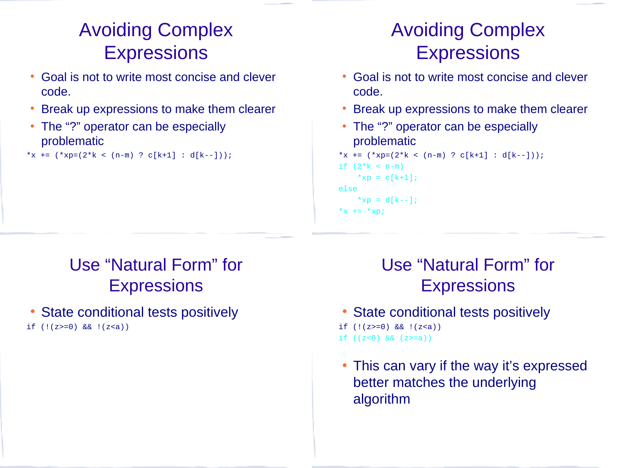# Avoiding Complex **Expressions**

- Goal is not to write most concise and clever code.
- Break up expressions to make them clearer
- The "?" operator can be especially problematic
- \*x +=  $(*xp=(2*k < (n-m) ? c[k+1] : d[k--])$ ;

# Avoiding Complex **Expressions**

- Goal is not to write most concise and clever code.
- Break up expressions to make them clearer
- The "?" operator can be especially problematic

```
*x += (*xp=(2*k < (n-m) ? c[k+1] : d[k--]);
if (2*k < n-m)*xp = c[k+1];
else
   *xp = d[k-1];
*x += *xp;
```
## Use "Natural Form" for **Expressions**

State conditional tests positively if  $(!(z)=0)$  &&  $!(z$ 

## Use "Natural Form" for **Expressions**

- State conditional tests positively
- if  $(!(z)=0)$  &&  $!(z$
- if  $((z<0)$  &&  $(z>=a))$
- This can vary if the way it's expressed better matches the underlying algorithm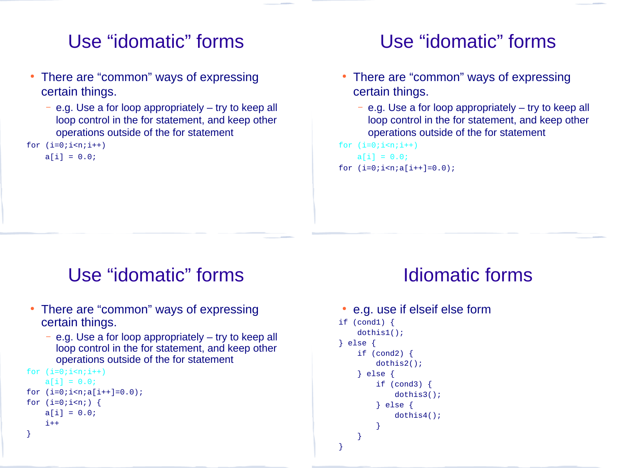#### Use "idomatic" forms

- There are "common" ways of expressing certain things.
	- e.g. Use a for loop appropriately try to keep all loop control in the for statement, and keep other operations outside of the for statement
- for  $(i=0; i < n; i++)$

 $a[i] = 0.0;$ 

## Use "idomatic" forms

- There are "common" ways of expressing certain things.
	- e.g. Use a for loop appropriately try to keep all loop control in the for statement, and keep other operations outside of the for statement

for  $(i=0; i \le n; i++)$  $a[i] = 0.0;$ for  $(i=0; i \le n; a[i++]=0.0)$ ;

#### Use "idomatic" forms

- There are "common" ways of expressing certain things.
	- e.g. Use a for loop appropriately try to keep all loop control in the for statement, and keep other operations outside of the for statement

```
for (i=0; i < n; i++)a[i] = 0.0;for (i=0; i < n; a[i++]=0.0);
for (i=0; i \le n; ) {
     a[i] = 0.0; i++
}
```
#### Idiomatic forms

```
• e.g. use if elseif else form
if (cond1) {
     dothis1();
} else {
     if (cond2) {
         dothis2();
     } else {
         if (cond3) {
             dothis3();
         } else {
             dothis4();
 }
     }
}
```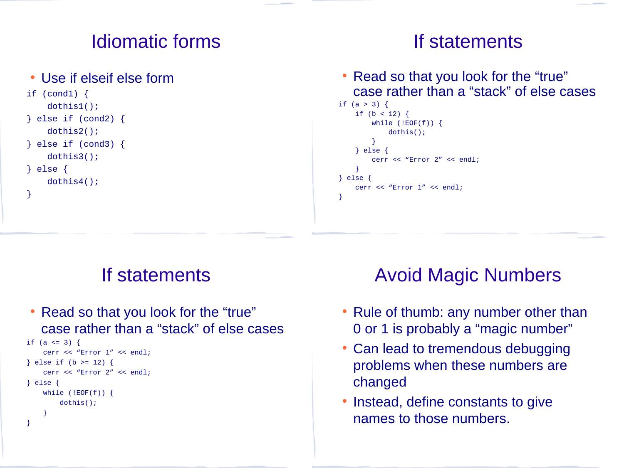## Idiomatic forms

#### • Use if elseif else form

```
if (cond1) \{ dothis1();
} else if (cond2) {
     dothis2();
} else if (cond3) {
     dothis3();
} else {
     dothis4();
}
```
#### If statements

• Read so that you look for the "true" case rather than a "stack" of else cases

```
if (a > 3) {
    if (b < 12) {
        while (!EOF(f)) {
              dothis();
         }
     } else {
         cerr << "Error 2" << endl;
     }
} else {
    cerr << "Error 1" << endl;
}
```
#### If statements

• Read so that you look for the "true" case rather than a "stack" of else cases

```
if (a \le 3) {
     cerr << "Error 1" << endl;
} else if (b >= 12) {
     cerr << "Error 2" << endl;
} else {
     while (!EOF(f)) {
         dothis();
     }
}
```
## Avoid Magic Numbers

- Rule of thumb: any number other than 0 or 1 is probably a "magic number"
- Can lead to tremendous debugging problems when these numbers are changed
- Instead, define constants to give names to those numbers.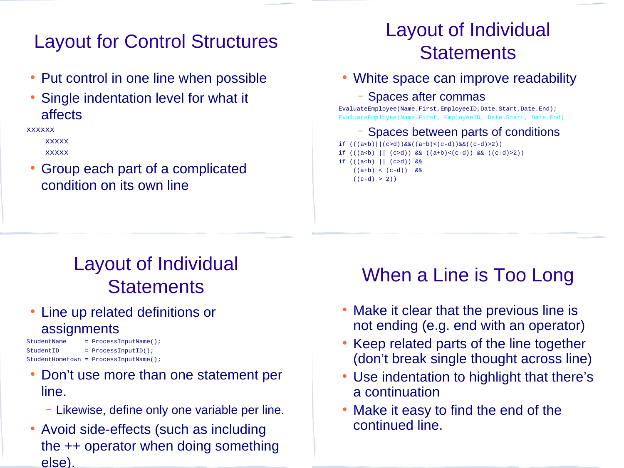## Layout for Control Structures

- Put control in one line when possible
- Single indentation level for what it affects

xxxxxx

 xxxxx xxxxx

● Group each part of a complicated condition on its own line

# Layout of Individual **Statements**

• White space can improve readability

– Spaces after commas

EvaluateEmployee(Name.First,EmployeeID,Date.Start,Date.End); EvaluateEmployee(Name.First, EmployeeID, Date.Start, Date.End);

#### – Spaces between parts of conditions

if  $(((a < b) || (c > d))@@((a + b) < (c - d))@@((c - d) > 2))$ if  $(((a < b) || (c > d)) & & ((a + b) < (c - d)) & & ((c - d) > 2))$ if  $((a < b) || (c > d))$  &&  $((a+b) < (c-d))$  &&  $((c-d) > 2))$ 

# Layout of Individual **Statements**

• Line up related definitions or **assignments** 

```
StudentName = ProcessInputName();
StudentID = ProcessInputID();
StudentHometown = ProcessInputName();
```
- Don't use more than one statement per line.
	- Likewise, define only one variable per line.
- Avoid side-effects (such as including the ++ operator when doing something else).

## When a Line is Too Long

- Make it clear that the previous line is not ending (e.g. end with an operator)
- Keep related parts of the line together (don't break single thought across line)
- Use indentation to highlight that there's a continuation
- Make it easy to find the end of the continued line.